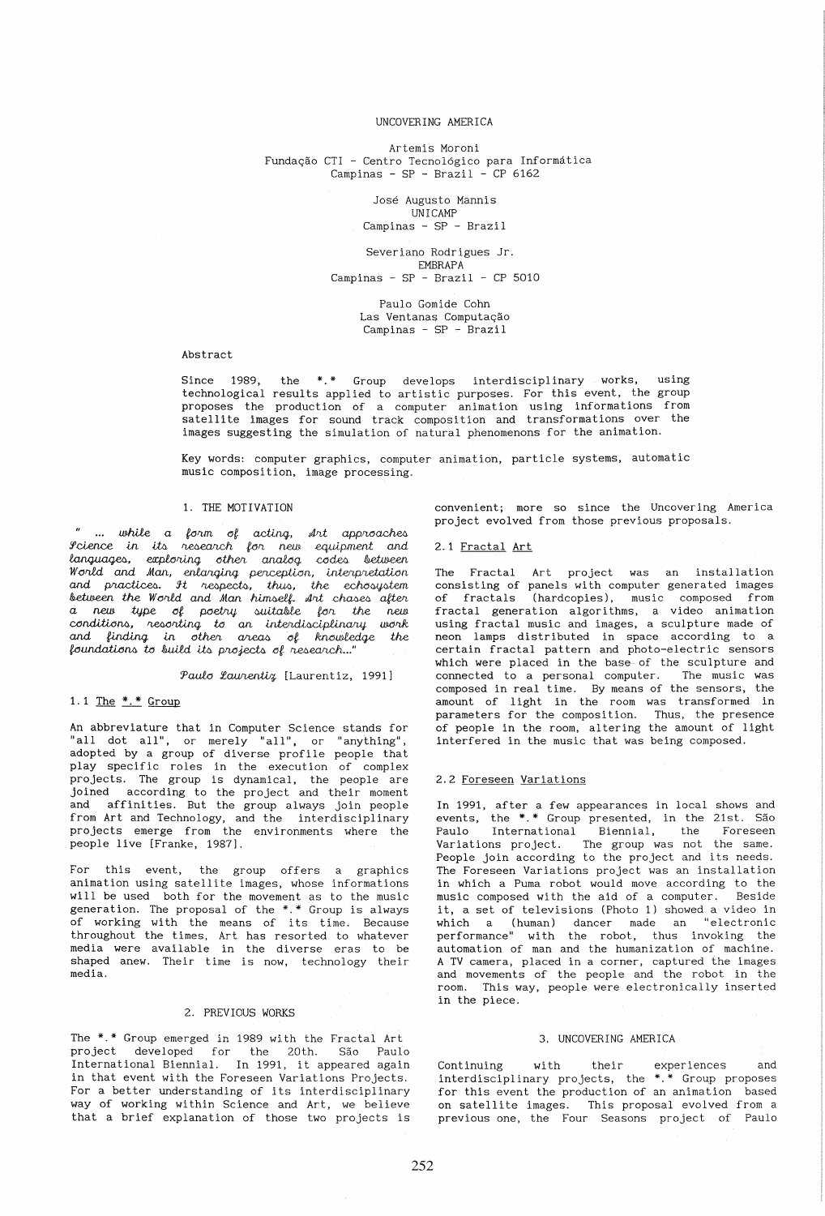## UNCOVERING AMERICA

Artemis Moroni Fundação CTI - Centro Tecnológico para Informática Campinas -  $SP - Brazil - CP 6162$ 

> José Augusto Mannis UNICAMP Campinas - SP - Brazil

Severiano Rodrigues Jr. EMBRAPA Campinas -  $SP - Brazil - CP 5010$ 

> Paulo Gomide Cohn Las Ventanas Computação Campinas -  $SP - Brazil$

#### Abstract

Since 1989, the \*.\* Group develops interdisciplinary works, using technological results applied to artistic purposes. For this event, the group scenarios the production of a computer animation using informations from<br>satellite images for sound track composition and transformations over the<br>images suggesting the simulation of natural phenomenons for the animation.

Key words: computer graphics, computer animation, particle systems, automatic music composition, image processing.

# 1. THE MOTIVATION

" ... while a form of acting, Art approaches<br>Icience in its research for new equipment and languages, exploring other analog codes between<br>World and Man, enlarging perception, interpretation and practices. It respects, thus, the echosystem<br>between the World and Man himself. Int chases after a new type of poetry suitable for the new<br>conditions, resorting to an interdisciplinary work<br>and finding in other areas of knowledge the foundations to build its projects of research..."

## Paulo Laurentiz [Laurentiz, 1991]

## 1.1 The  $*.*$  Group

An abbreviature that in Computer Science stands for "all dot all", or merely "all", or "anything", adopted by a group of diverse profile people that play specific roles in the execution of complex projects. The group is dynamical, the people are<br>joined according to the project and their moment and affinities. But the group always join people<br>from Art and Technology, and the interdisciplinary projects emerge from the environments where the people live [Franke, 1987].

For this event, the group offers a graphics animation using satellite images, whose informations will be used both for the movement as to the music generation. The proposal of the \*.\* Group is always of working with the means of its time. Because throughout the times, Art has resorted to whatever media were available in the diverse eras to be shaped anew. Their time is now, technology their media.

## 2. PREVIOUS WORKS

The \*.\* Group emerged in 1989 with the Fractal Art project developed for the 20th. São Paulo<br>International Biennial. In 1991, it appeared again in that event with the Foreseen Variations Projects. For a better understanding of its interdisciplinary way of working within Science and Art, we believe that a brief explanation of those two projects is convenient; more so since the Uncovering America project evolved from those previous proposals.

#### 2.1 Fractal Art

The Fractal Art project was an installation consisting of panels with computer generated images of fractals (hardcopies), music composed from<br>fractal generation algorithms, a video animation using fractal music and images, a sculpture made of neon lamps distributed in space according to a certain fractal pattern and photo-electric sensors which were placed in the base of the sculpture and connected to a personal computer. The music was composed in real time. By means of the sensors, the amount of light in the room was transformed in<br>parameters for the composition. Thus, the presence<br>of people in the room, altering the amount of light interfered in the music that was being composed.

#### 2.2 Foreseen Variations

In 1991, after a few appearances in local shows and events, the \*.\* Group presented, in the 21st. São Paulo International Biennial, the Foreseen Variations project. The group was not the same. People join according to the project and its needs. The Foreseen Variations project was an installation in which a Puma robot would move according to the music composed with the aid of a computer. Beside it, a set of televisions (Photo 1) showed a video in which a (human) dancer made an "electronic<br>performance" with the robot, thus invoking the automation of man and the humanization of machine. A TV camera, placed in a corner, captured the images and movements of the people and the robot in the room. This way, people were electronically inserted in the piece.

## 3. UNCOVERING AMERICA

experiences Continuing with their and interdisciplinary projects, the \*.\* Group proposes for this event the production of an animation based on satellite images. This proposal evolved from a previous one, the Four Seasons project of Paulo